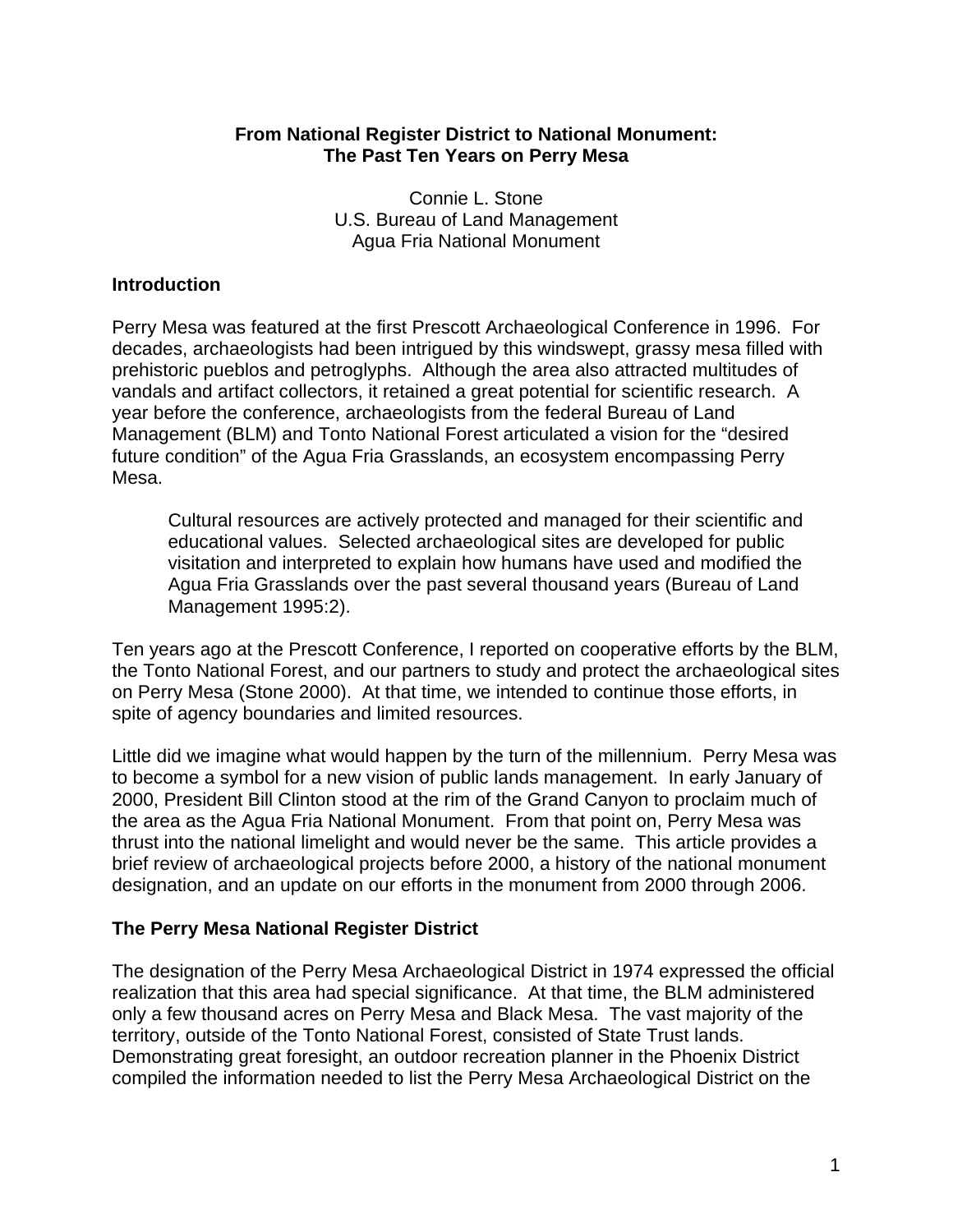# **From National Register District to National Monument: The Past Ten Years on Perry Mesa**

Connie L. Stone U.S. Bureau of Land Management Agua Fria National Monument

# **Introduction**

Perry Mesa was featured at the first Prescott Archaeological Conference in 1996. For decades, archaeologists had been intrigued by this windswept, grassy mesa filled with prehistoric pueblos and petroglyphs. Although the area also attracted multitudes of vandals and artifact collectors, it retained a great potential for scientific research. A year before the conference, archaeologists from the federal Bureau of Land Management (BLM) and Tonto National Forest articulated a vision for the "desired future condition" of the Agua Fria Grasslands, an ecosystem encompassing Perry Mesa.

Cultural resources are actively protected and managed for their scientific and educational values. Selected archaeological sites are developed for public visitation and interpreted to explain how humans have used and modified the Agua Fria Grasslands over the past several thousand years (Bureau of Land Management 1995:2).

Ten years ago at the Prescott Conference, I reported on cooperative efforts by the BLM, the Tonto National Forest, and our partners to study and protect the archaeological sites on Perry Mesa (Stone 2000). At that time, we intended to continue those efforts, in spite of agency boundaries and limited resources.

Little did we imagine what would happen by the turn of the millennium. Perry Mesa was to become a symbol for a new vision of public lands management. In early January of 2000, President Bill Clinton stood at the rim of the Grand Canyon to proclaim much of the area as the Agua Fria National Monument. From that point on, Perry Mesa was thrust into the national limelight and would never be the same. This article provides a brief review of archaeological projects before 2000, a history of the national monument designation, and an update on our efforts in the monument from 2000 through 2006.

# **The Perry Mesa National Register District**

The designation of the Perry Mesa Archaeological District in 1974 expressed the official realization that this area had special significance. At that time, the BLM administered only a few thousand acres on Perry Mesa and Black Mesa. The vast majority of the territory, outside of the Tonto National Forest, consisted of State Trust lands. Demonstrating great foresight, an outdoor recreation planner in the Phoenix District compiled the information needed to list the Perry Mesa Archaeological District on the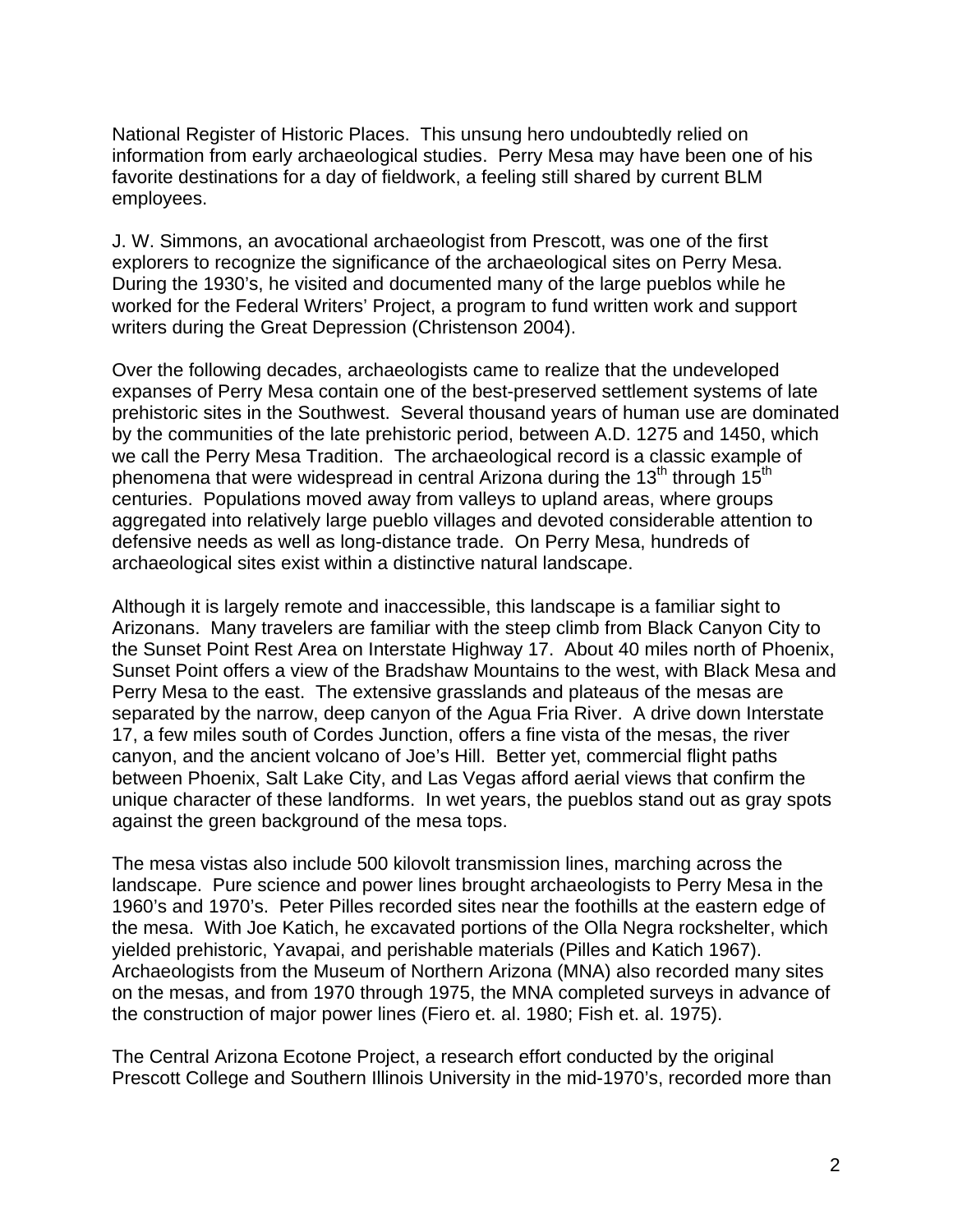employees. National Register of Historic Places. This unsung hero undoubtedly relied on information from early archaeological studies. Perry Mesa may have been one of his favorite destinations for a day of fieldwork, a feeling still shared by current BLM

J. W. Simmons, an avocational archaeologist from Prescott, was one of the first explorers to recognize the significance of the archaeological sites on Perry Mesa. During the 1930's, he visited and documented many of the large pueblos while he worked for the Federal Writers' Project, a program to fund written work and support writers during the Great Depression (Christenson 2004).

Over the following decades, archaeologists came to realize that the undeveloped expanses of Perry Mesa contain one of the best-preserved settlement systems of late prehistoric sites in the Southwest. Several thousand years of human use are dominated by the communities of the late prehistoric period, between A.D. 1275 and 1450, which we call the Perry Mesa Tradition. The archaeological record is a classic example of phenomena that were widespread in central Arizona during the 13<sup>th</sup> through 15<sup>th</sup> centuries. Populations moved away from valleys to upland areas, where groups aggregated into relatively large pueblo villages and devoted considerable attention to defensive needs as well as long-distance trade. On Perry Mesa, hundreds of archaeological sites exist within a distinctive natural landscape.

Although it is largely remote and inaccessible, this landscape is a familiar sight to Arizonans. Many travelers are familiar with the steep climb from Black Canyon City to the Sunset Point Rest Area on Interstate Highway 17. About 40 miles north of Phoenix, Sunset Point offers a view of the Bradshaw Mountains to the west, with Black Mesa and Perry Mesa to the east. The extensive grasslands and plateaus of the mesas are separated by the narrow, deep canyon of the Agua Fria River. A drive down Interstate 17, a few miles south of Cordes Junction, offers a fine vista of the mesas, the river canyon, and the ancient volcano of Joe's Hill. Better yet, commercial flight paths between Phoenix, Salt Lake City, and Las Vegas afford aerial views that confirm the unique character of these landforms. In wet years, the pueblos stand out as gray spots against the green background of the mesa tops.

The mesa vistas also include 500 kilovolt transmission lines, marching across the landscape. Pure science and power lines brought archaeologists to Perry Mesa in the 1960's and 1970's. Peter Pilles recorded sites near the foothills at the eastern edge of the mesa. With Joe Katich, he excavated portions of the Olla Negra rockshelter, which yielded prehistoric, Yavapai, and perishable materials (Pilles and Katich 1967). Archaeologists from the Museum of Northern Arizona (MNA) also recorded many sites on the mesas, and from 1970 through 1975, the MNA completed surveys in advance of the construction of major power lines (Fiero et. al. 1980; Fish et. al. 1975).

The Central Arizona Ecotone Project, a research effort conducted by the original Prescott College and Southern Illinois University in the mid-1970's, recorded more than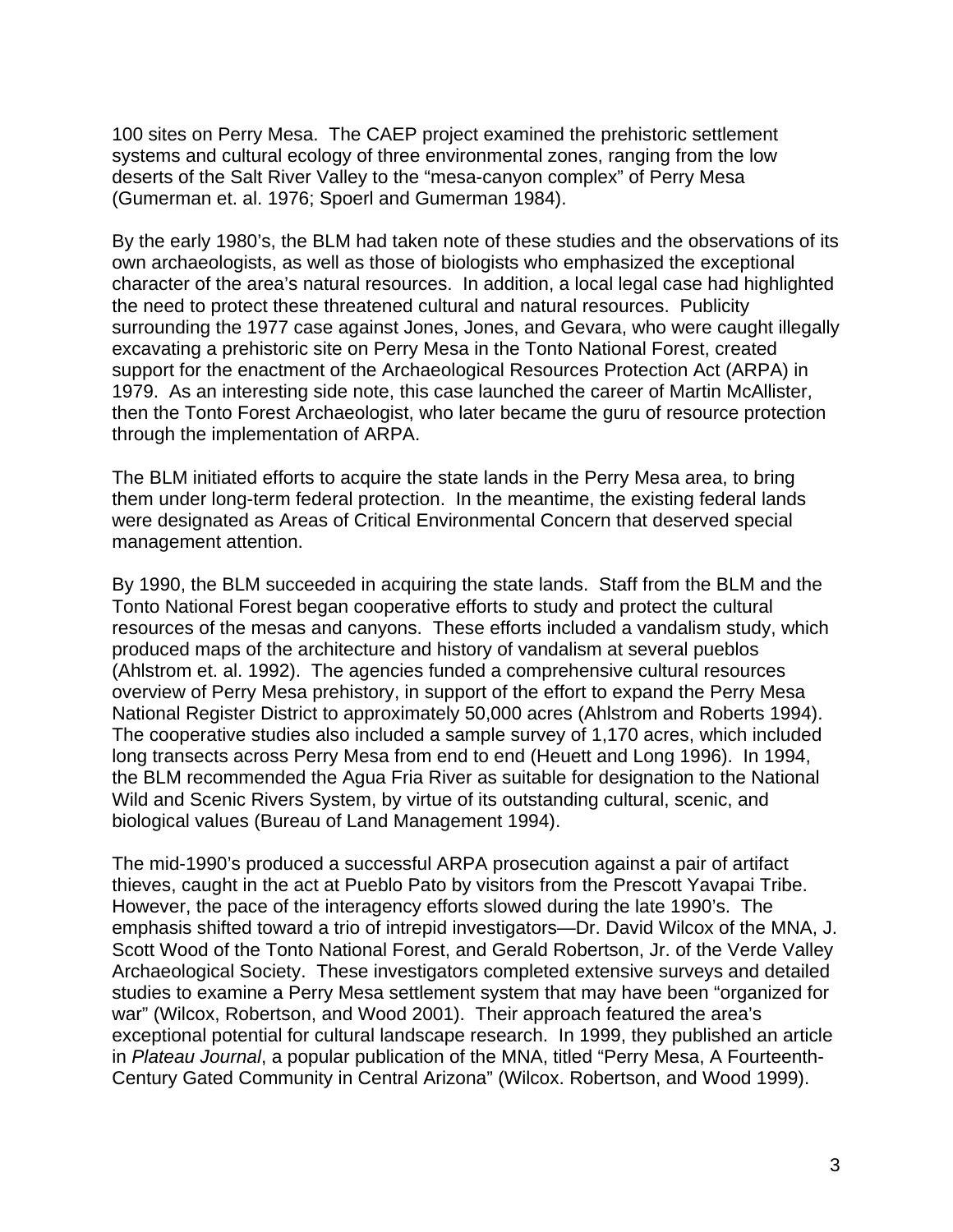100 sites on Perry Mesa. The CAEP project examined the prehistoric settlement systems and cultural ecology of three environmental zones, ranging from the low deserts of the Salt River Valley to the "mesa-canyon complex" of Perry Mesa (Gumerman et. al. 1976; Spoerl and Gumerman 1984).

By the early 1980's, the BLM had taken note of these studies and the observations of its own archaeologists, as well as those of biologists who emphasized the exceptional character of the area's natural resources. In addition, a local legal case had highlighted the need to protect these threatened cultural and natural resources. Publicity surrounding the 1977 case against Jones, Jones, and Gevara, who were caught illegally excavating a prehistoric site on Perry Mesa in the Tonto National Forest, created support for the enactment of the Archaeological Resources Protection Act (ARPA) in 1979. As an interesting side note, this case launched the career of Martin McAllister, then the Tonto Forest Archaeologist, who later became the guru of resource protection through the implementation of ARPA.

The BLM initiated efforts to acquire the state lands in the Perry Mesa area, to bring them under long-term federal protection. In the meantime, the existing federal lands were designated as Areas of Critical Environmental Concern that deserved special management attention.

By 1990, the BLM succeeded in acquiring the state lands. Staff from the BLM and the Tonto National Forest began cooperative efforts to study and protect the cultural resources of the mesas and canyons. These efforts included a vandalism study, which produced maps of the architecture and history of vandalism at several pueblos (Ahlstrom et. al. 1992). The agencies funded a comprehensive cultural resources overview of Perry Mesa prehistory, in support of the effort to expand the Perry Mesa National Register District to approximately 50,000 acres (Ahlstrom and Roberts 1994). The cooperative studies also included a sample survey of 1,170 acres, which included long transects across Perry Mesa from end to end (Heuett and Long 1996). In 1994, the BLM recommended the Agua Fria River as suitable for designation to the National Wild and Scenic Rivers System, by virtue of its outstanding cultural, scenic, and biological values (Bureau of Land Management 1994).

The mid-1990's produced a successful ARPA prosecution against a pair of artifact thieves, caught in the act at Pueblo Pato by visitors from the Prescott Yavapai Tribe. However, the pace of the interagency efforts slowed during the late 1990's. The emphasis shifted toward a trio of intrepid investigators—Dr. David Wilcox of the MNA, J. Scott Wood of the Tonto National Forest, and Gerald Robertson, Jr. of the Verde Valley Archaeological Society. These investigators completed extensive surveys and detailed studies to examine a Perry Mesa settlement system that may have been "organized for war" (Wilcox, Robertson, and Wood 2001). Their approach featured the area's exceptional potential for cultural landscape research. In 1999, they published an article in *Plateau Journal*, a popular publication of the MNA, titled "Perry Mesa, A Fourteenth-Century Gated Community in Central Arizona" (Wilcox. Robertson, and Wood 1999).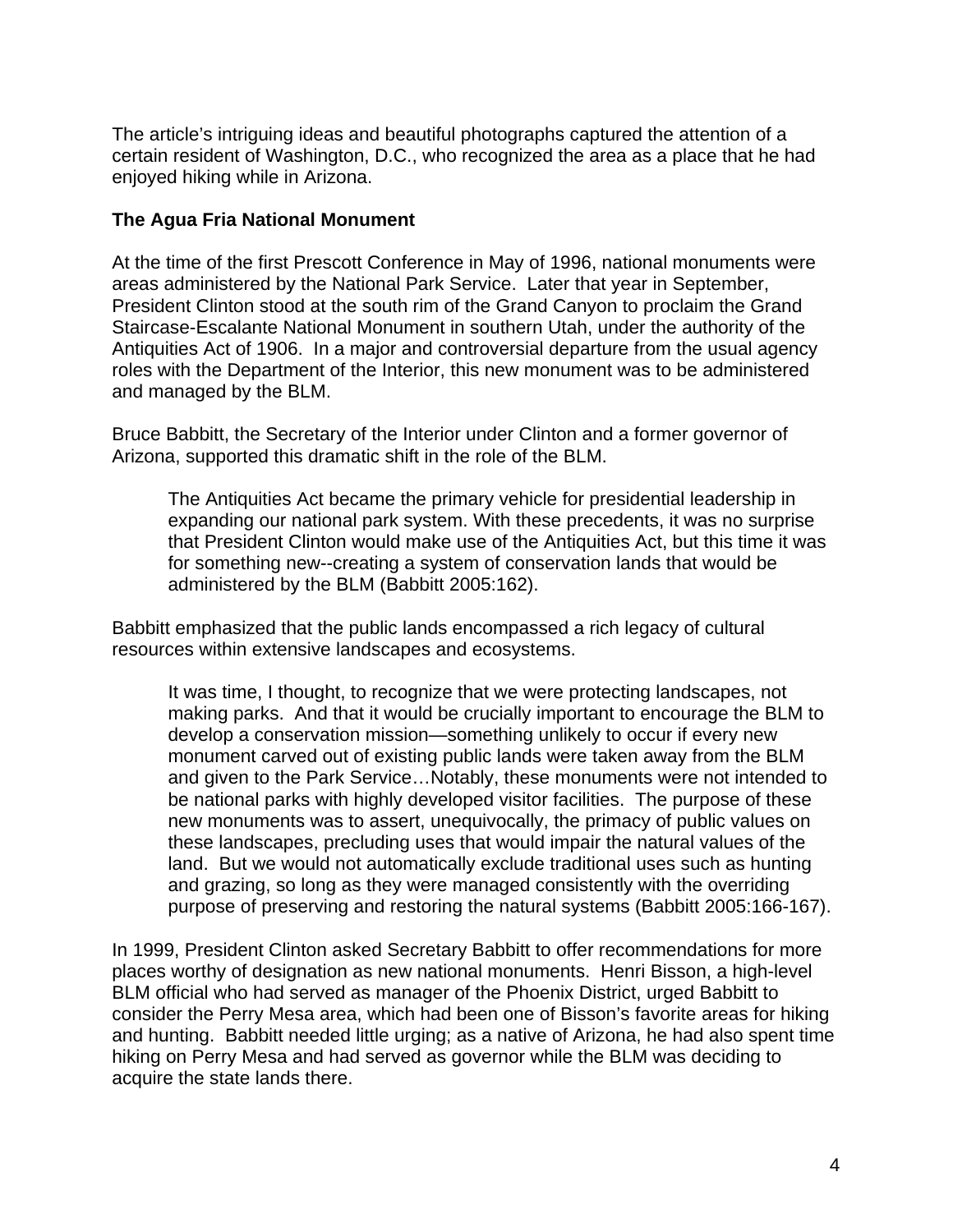The article's intriguing ideas and beautiful photographs captured the attention of a certain resident of Washington, D.C., who recognized the area as a place that he had enjoyed hiking while in Arizona.

# **The Agua Fria National Monument**

At the time of the first Prescott Conference in May of 1996, national monuments were areas administered by the National Park Service. Later that year in September, President Clinton stood at the south rim of the Grand Canyon to proclaim the Grand Staircase-Escalante National Monument in southern Utah, under the authority of the Antiquities Act of 1906. In a major and controversial departure from the usual agency roles with the Department of the Interior, this new monument was to be administered and managed by the BLM.

Bruce Babbitt, the Secretary of the Interior under Clinton and a former governor of Arizona, supported this dramatic shift in the role of the BLM.

The Antiquities Act became the primary vehicle for presidential leadership in expanding our national park system. With these precedents, it was no surprise that President Clinton would make use of the Antiquities Act, but this time it was for something new--creating a system of conservation lands that would be administered by the BLM (Babbitt 2005:162).

Babbitt emphasized that the public lands encompassed a rich legacy of cultural resources within extensive landscapes and ecosystems.

It was time, I thought, to recognize that we were protecting landscapes, not making parks. And that it would be crucially important to encourage the BLM to develop a conservation mission—something unlikely to occur if every new monument carved out of existing public lands were taken away from the BLM and given to the Park Service…Notably, these monuments were not intended to be national parks with highly developed visitor facilities. The purpose of these new monuments was to assert, unequivocally, the primacy of public values on these landscapes, precluding uses that would impair the natural values of the land. But we would not automatically exclude traditional uses such as hunting and grazing, so long as they were managed consistently with the overriding purpose of preserving and restoring the natural systems (Babbitt 2005:166-167).

In 1999, President Clinton asked Secretary Babbitt to offer recommendations for more places worthy of designation as new national monuments. Henri Bisson, a high-level BLM official who had served as manager of the Phoenix District, urged Babbitt to consider the Perry Mesa area, which had been one of Bisson's favorite areas for hiking and hunting. Babbitt needed little urging; as a native of Arizona, he had also spent time hiking on Perry Mesa and had served as governor while the BLM was deciding to acquire the state lands there.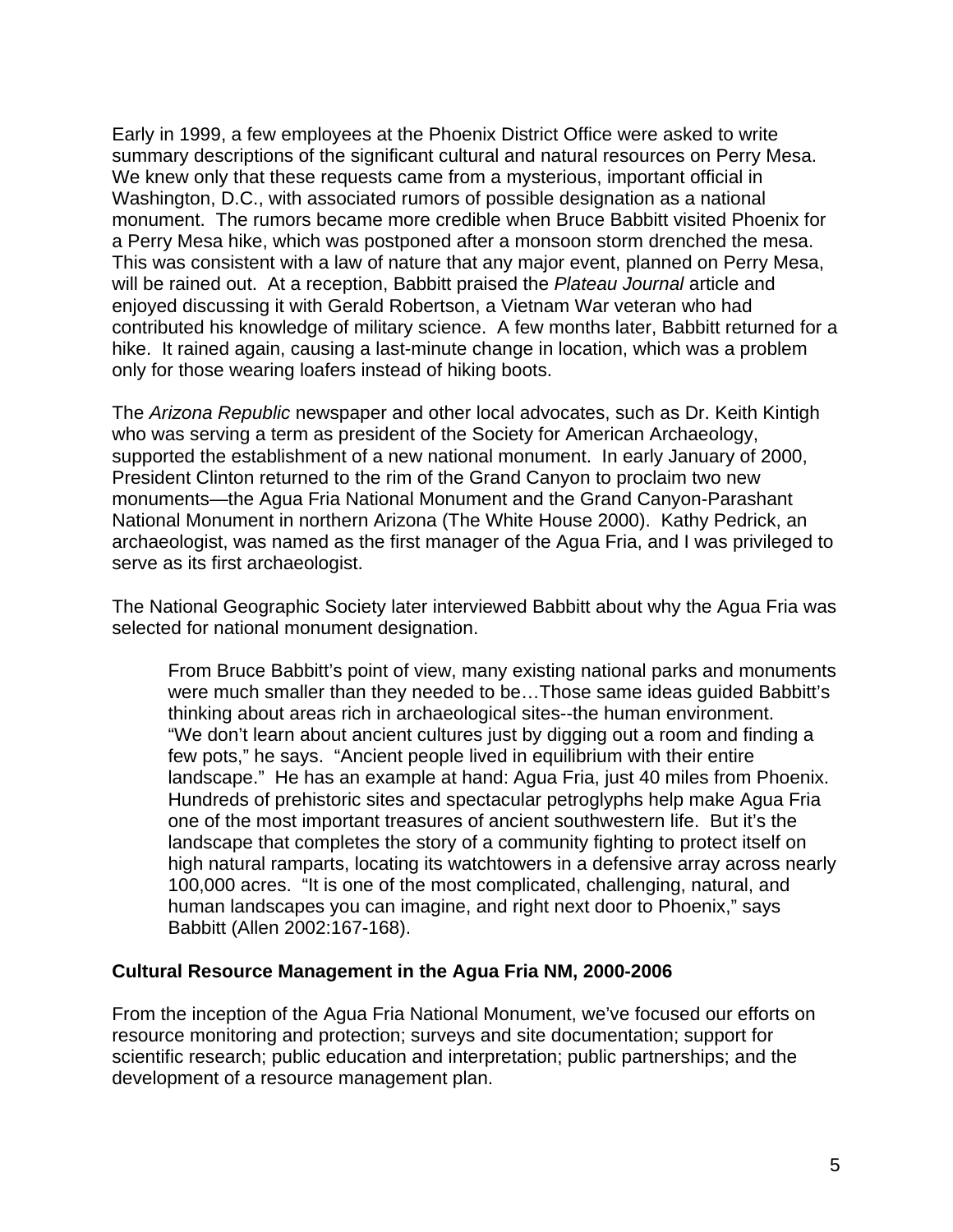Early in 1999, a few employees at the Phoenix District Office were asked to write summary descriptions of the significant cultural and natural resources on Perry Mesa. We knew only that these requests came from a mysterious, important official in Washington, D.C., with associated rumors of possible designation as a national monument. The rumors became more credible when Bruce Babbitt visited Phoenix for a Perry Mesa hike, which was postponed after a monsoon storm drenched the mesa. This was consistent with a law of nature that any major event, planned on Perry Mesa, will be rained out. At a reception, Babbitt praised the *Plateau Journal* article and enjoyed discussing it with Gerald Robertson, a Vietnam War veteran who had contributed his knowledge of military science. A few months later, Babbitt returned for a hike. It rained again, causing a last-minute change in location, which was a problem only for those wearing loafers instead of hiking boots.

The *Arizona Republic* newspaper and other local advocates, such as Dr. Keith Kintigh who was serving a term as president of the Society for American Archaeology, supported the establishment of a new national monument. In early January of 2000, President Clinton returned to the rim of the Grand Canyon to proclaim two new monuments—the Agua Fria National Monument and the Grand Canyon-Parashant National Monument in northern Arizona (The White House 2000). Kathy Pedrick, an archaeologist, was named as the first manager of the Agua Fria, and I was privileged to serve as its first archaeologist.

The National Geographic Society later interviewed Babbitt about why the Agua Fria was selected for national monument designation.

From Bruce Babbitt's point of view, many existing national parks and monuments were much smaller than they needed to be…Those same ideas guided Babbitt's thinking about areas rich in archaeological sites--the human environment. "We don't learn about ancient cultures just by digging out a room and finding a few pots," he says. "Ancient people lived in equilibrium with their entire landscape." He has an example at hand: Agua Fria, just 40 miles from Phoenix. Hundreds of prehistoric sites and spectacular petroglyphs help make Agua Fria one of the most important treasures of ancient southwestern life. But it's the landscape that completes the story of a community fighting to protect itself on high natural ramparts, locating its watchtowers in a defensive array across nearly 100,000 acres. "It is one of the most complicated, challenging, natural, and human landscapes you can imagine, and right next door to Phoenix," says Babbitt (Allen 2002:167-168).

#### **Cultural Resource Management in the Agua Fria NM, 2000-2006**

From the inception of the Agua Fria National Monument, we've focused our efforts on resource monitoring and protection; surveys and site documentation; support for scientific research; public education and interpretation; public partnerships; and the development of a resource management plan.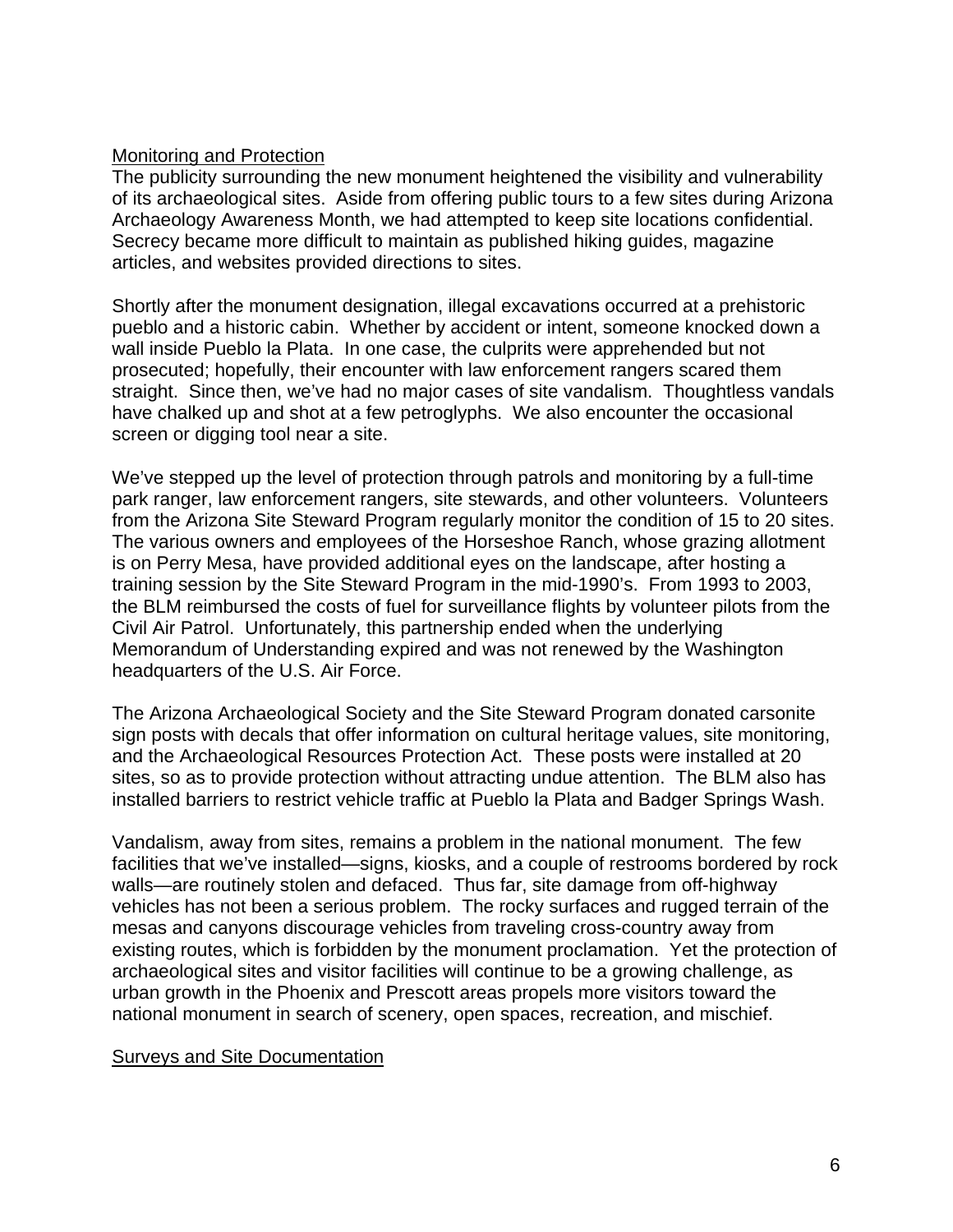#### Monitoring and Protection

The publicity surrounding the new monument heightened the visibility and vulnerability of its archaeological sites. Aside from offering public tours to a few sites during Arizona Archaeology Awareness Month, we had attempted to keep site locations confidential. Secrecy became more difficult to maintain as published hiking guides, magazine articles, and websites provided directions to sites.

Shortly after the monument designation, illegal excavations occurred at a prehistoric pueblo and a historic cabin. Whether by accident or intent, someone knocked down a wall inside Pueblo la Plata. In one case, the culprits were apprehended but not prosecuted; hopefully, their encounter with law enforcement rangers scared them straight. Since then, we've had no major cases of site vandalism. Thoughtless vandals have chalked up and shot at a few petroglyphs. We also encounter the occasional screen or digging tool near a site.

We've stepped up the level of protection through patrols and monitoring by a full-time park ranger, law enforcement rangers, site stewards, and other volunteers. Volunteers from the Arizona Site Steward Program regularly monitor the condition of 15 to 20 sites. The various owners and employees of the Horseshoe Ranch, whose grazing allotment is on Perry Mesa, have provided additional eyes on the landscape, after hosting a training session by the Site Steward Program in the mid-1990's. From 1993 to 2003, the BLM reimbursed the costs of fuel for surveillance flights by volunteer pilots from the Civil Air Patrol. Unfortunately, this partnership ended when the underlying Memorandum of Understanding expired and was not renewed by the Washington headquarters of the U.S. Air Force.

The Arizona Archaeological Society and the Site Steward Program donated carsonite sign posts with decals that offer information on cultural heritage values, site monitoring, and the Archaeological Resources Protection Act. These posts were installed at 20 sites, so as to provide protection without attracting undue attention. The BLM also has installed barriers to restrict vehicle traffic at Pueblo la Plata and Badger Springs Wash.

Vandalism, away from sites, remains a problem in the national monument. The few facilities that we've installed—signs, kiosks, and a couple of restrooms bordered by rock walls—are routinely stolen and defaced. Thus far, site damage from off-highway vehicles has not been a serious problem. The rocky surfaces and rugged terrain of the mesas and canyons discourage vehicles from traveling cross-country away from existing routes, which is forbidden by the monument proclamation. Yet the protection of archaeological sites and visitor facilities will continue to be a growing challenge, as urban growth in the Phoenix and Prescott areas propels more visitors toward the national monument in search of scenery, open spaces, recreation, and mischief.

#### Surveys and Site Documentation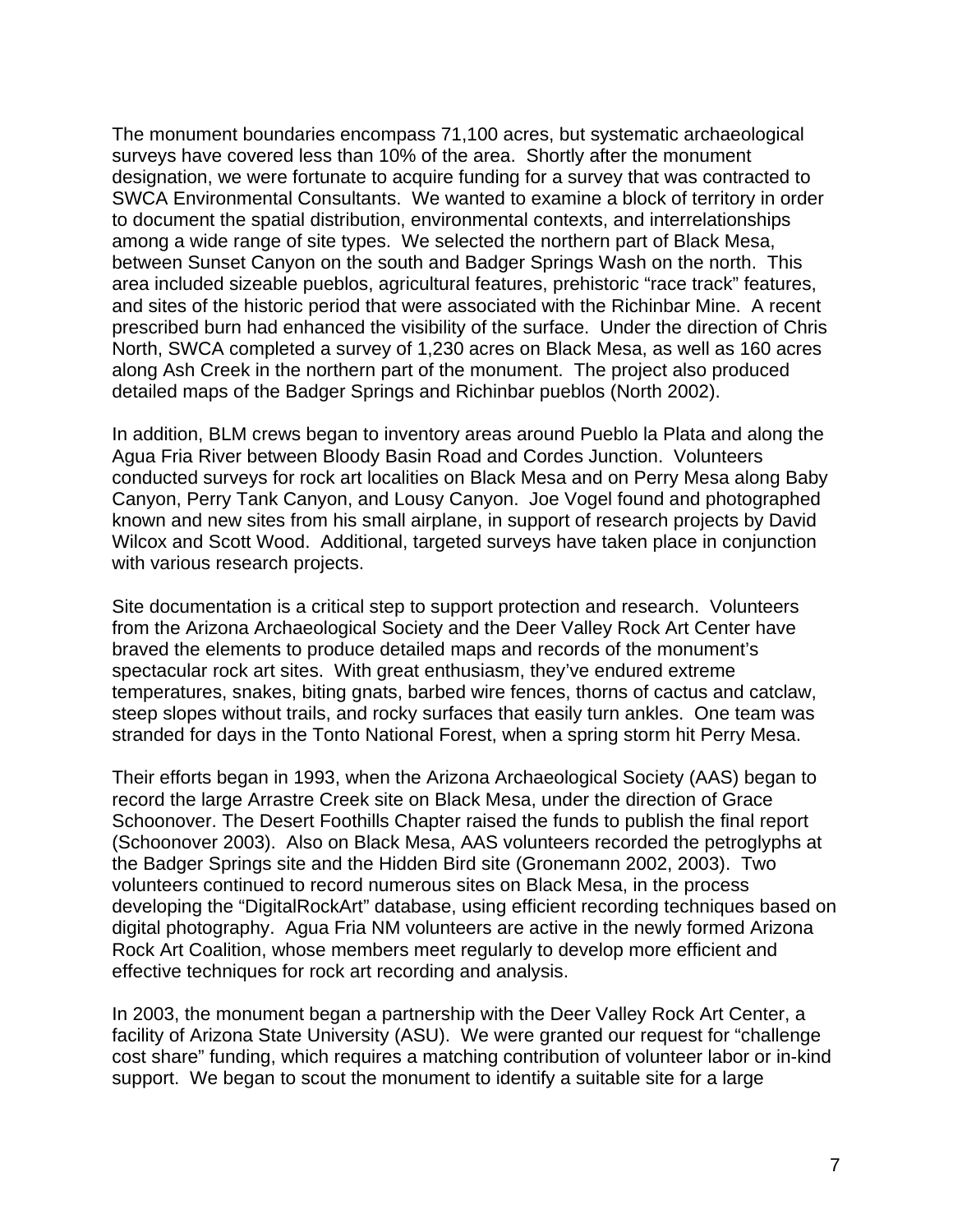The monument boundaries encompass 71,100 acres, but systematic archaeological surveys have covered less than 10% of the area. Shortly after the monument designation, we were fortunate to acquire funding for a survey that was contracted to SWCA Environmental Consultants. We wanted to examine a block of territory in order to document the spatial distribution, environmental contexts, and interrelationships among a wide range of site types. We selected the northern part of Black Mesa, between Sunset Canyon on the south and Badger Springs Wash on the north. This area included sizeable pueblos, agricultural features, prehistoric "race track" features, and sites of the historic period that were associated with the Richinbar Mine. A recent prescribed burn had enhanced the visibility of the surface. Under the direction of Chris North, SWCA completed a survey of 1,230 acres on Black Mesa, as well as 160 acres along Ash Creek in the northern part of the monument. The project also produced detailed maps of the Badger Springs and Richinbar pueblos (North 2002).

In addition, BLM crews began to inventory areas around Pueblo la Plata and along the Agua Fria River between Bloody Basin Road and Cordes Junction. Volunteers conducted surveys for rock art localities on Black Mesa and on Perry Mesa along Baby Canyon, Perry Tank Canyon, and Lousy Canyon. Joe Vogel found and photographed known and new sites from his small airplane, in support of research projects by David Wilcox and Scott Wood. Additional, targeted surveys have taken place in conjunction with various research projects.

Site documentation is a critical step to support protection and research. Volunteers from the Arizona Archaeological Society and the Deer Valley Rock Art Center have braved the elements to produce detailed maps and records of the monument's spectacular rock art sites. With great enthusiasm, they've endured extreme temperatures, snakes, biting gnats, barbed wire fences, thorns of cactus and catclaw, steep slopes without trails, and rocky surfaces that easily turn ankles. One team was stranded for days in the Tonto National Forest, when a spring storm hit Perry Mesa.

Their efforts began in 1993, when the Arizona Archaeological Society (AAS) began to record the large Arrastre Creek site on Black Mesa, under the direction of Grace Schoonover. The Desert Foothills Chapter raised the funds to publish the final report (Schoonover 2003). Also on Black Mesa, AAS volunteers recorded the petroglyphs at the Badger Springs site and the Hidden Bird site (Gronemann 2002, 2003). Two volunteers continued to record numerous sites on Black Mesa, in the process developing the "DigitalRockArt" database, using efficient recording techniques based on digital photography. Agua Fria NM volunteers are active in the newly formed Arizona Rock Art Coalition, whose members meet regularly to develop more efficient and effective techniques for rock art recording and analysis.

In 2003, the monument began a partnership with the Deer Valley Rock Art Center, a facility of Arizona State University (ASU). We were granted our request for "challenge cost share" funding, which requires a matching contribution of volunteer labor or in-kind support. We began to scout the monument to identify a suitable site for a large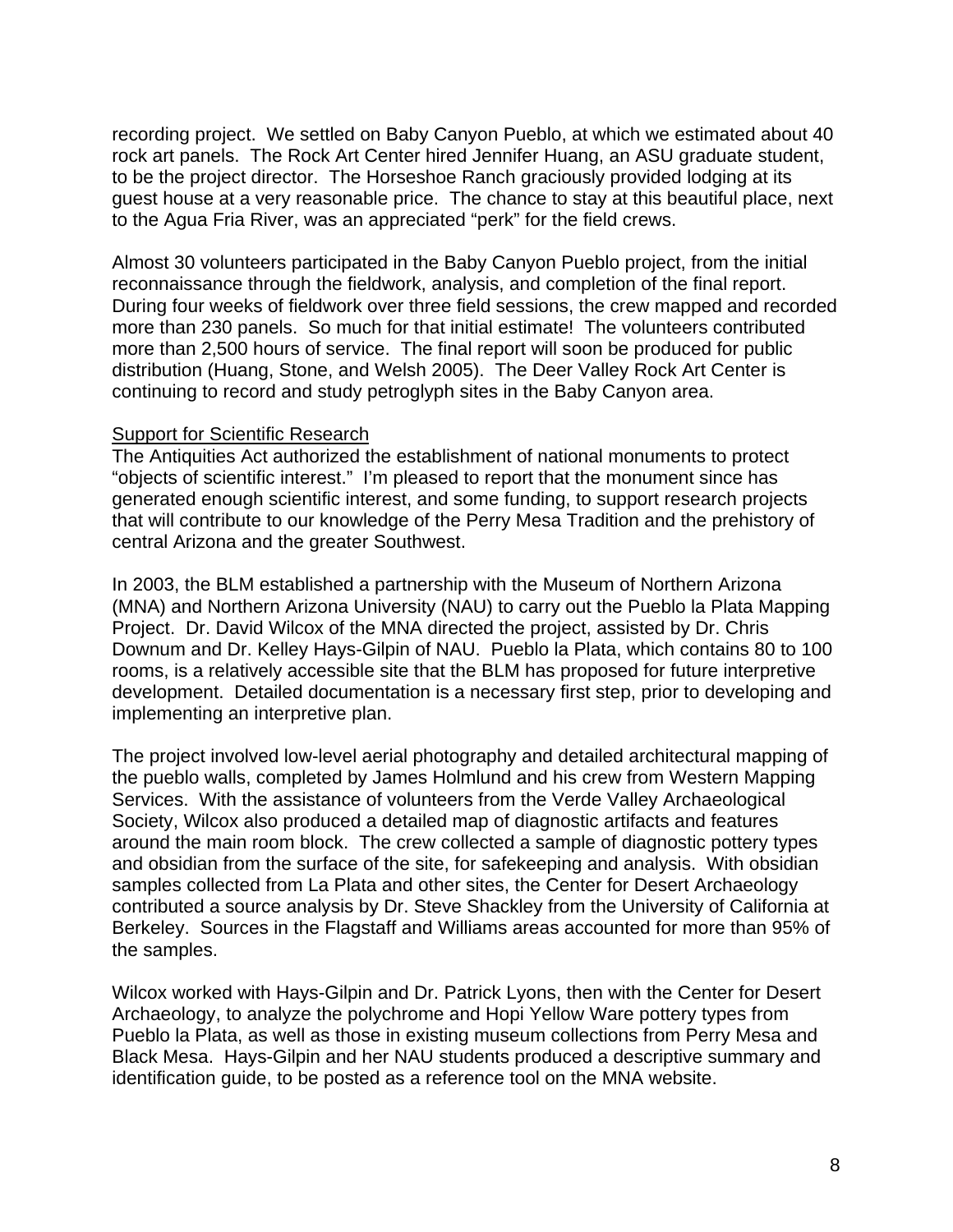recording project. We settled on Baby Canyon Pueblo, at which we estimated about 40 rock art panels. The Rock Art Center hired Jennifer Huang, an ASU graduate student, to be the project director. The Horseshoe Ranch graciously provided lodging at its guest house at a very reasonable price. The chance to stay at this beautiful place, next to the Agua Fria River, was an appreciated "perk" for the field crews.

Almost 30 volunteers participated in the Baby Canyon Pueblo project, from the initial reconnaissance through the fieldwork, analysis, and completion of the final report. During four weeks of fieldwork over three field sessions, the crew mapped and recorded more than 230 panels. So much for that initial estimate! The volunteers contributed more than 2,500 hours of service. The final report will soon be produced for public distribution (Huang, Stone, and Welsh 2005). The Deer Valley Rock Art Center is continuing to record and study petroglyph sites in the Baby Canyon area.

#### **Support for Scientific Research**

The Antiquities Act authorized the establishment of national monuments to protect "objects of scientific interest." I'm pleased to report that the monument since has generated enough scientific interest, and some funding, to support research projects that will contribute to our knowledge of the Perry Mesa Tradition and the prehistory of central Arizona and the greater Southwest.

In 2003, the BLM established a partnership with the Museum of Northern Arizona (MNA) and Northern Arizona University (NAU) to carry out the Pueblo la Plata Mapping Project. Dr. David Wilcox of the MNA directed the project, assisted by Dr. Chris Downum and Dr. Kelley Hays-Gilpin of NAU. Pueblo la Plata, which contains 80 to 100 rooms, is a relatively accessible site that the BLM has proposed for future interpretive development. Detailed documentation is a necessary first step, prior to developing and implementing an interpretive plan.

The project involved low-level aerial photography and detailed architectural mapping of the pueblo walls, completed by James Holmlund and his crew from Western Mapping Services. With the assistance of volunteers from the Verde Valley Archaeological Society, Wilcox also produced a detailed map of diagnostic artifacts and features around the main room block. The crew collected a sample of diagnostic pottery types and obsidian from the surface of the site, for safekeeping and analysis. With obsidian samples collected from La Plata and other sites, the Center for Desert Archaeology contributed a source analysis by Dr. Steve Shackley from the University of California at Berkeley. Sources in the Flagstaff and Williams areas accounted for more than 95% of the samples.

Wilcox worked with Hays-Gilpin and Dr. Patrick Lyons, then with the Center for Desert Archaeology, to analyze the polychrome and Hopi Yellow Ware pottery types from Pueblo la Plata, as well as those in existing museum collections from Perry Mesa and Black Mesa. Hays-Gilpin and her NAU students produced a descriptive summary and identification guide, to be posted as a reference tool on the MNA website.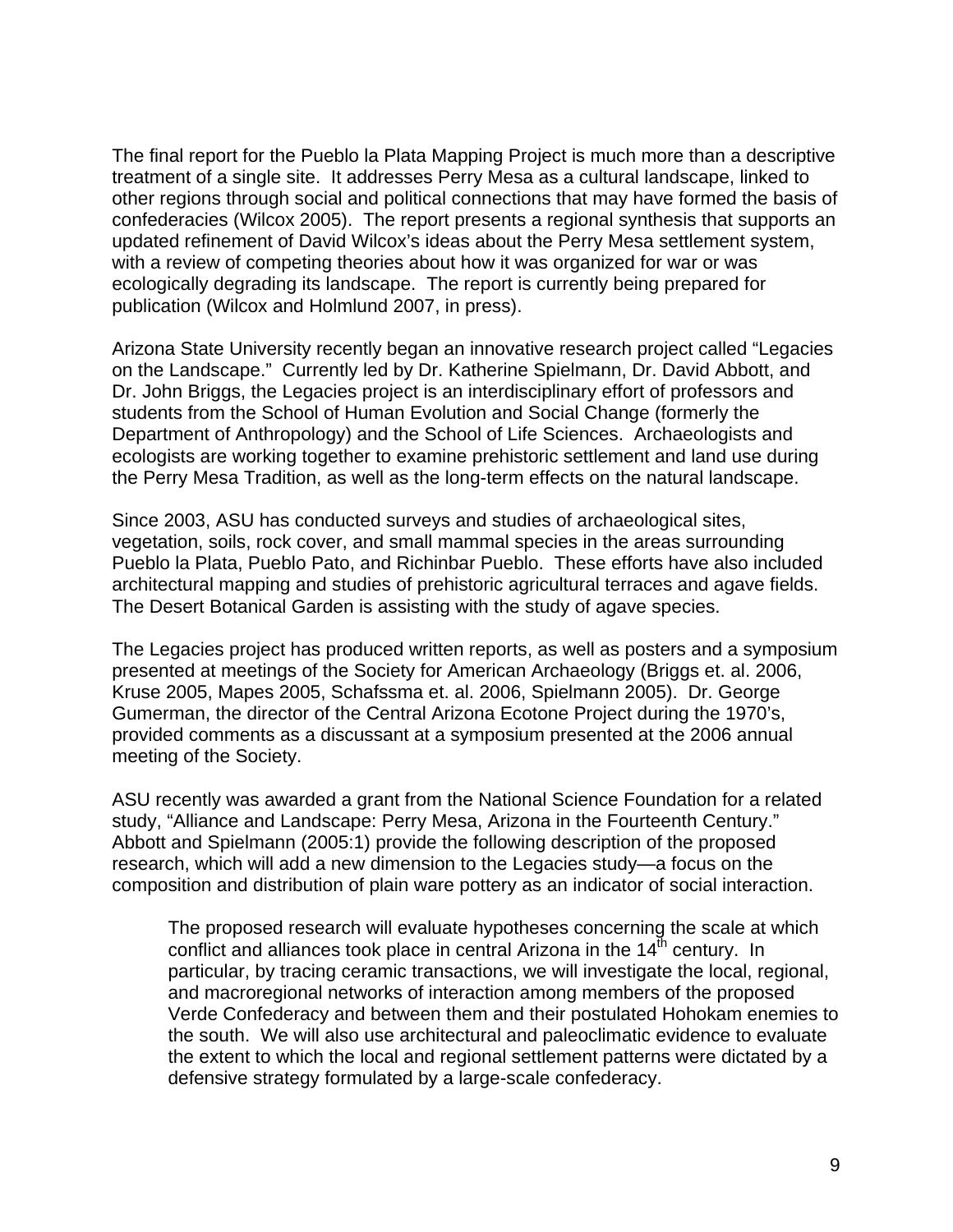The final report for the Pueblo la Plata Mapping Project is much more than a descriptive treatment of a single site. It addresses Perry Mesa as a cultural landscape, linked to other regions through social and political connections that may have formed the basis of confederacies (Wilcox 2005). The report presents a regional synthesis that supports an updated refinement of David Wilcox's ideas about the Perry Mesa settlement system, with a review of competing theories about how it was organized for war or was ecologically degrading its landscape. The report is currently being prepared for publication (Wilcox and Holmlund 2007, in press).

Arizona State University recently began an innovative research project called "Legacies on the Landscape." Currently led by Dr. Katherine Spielmann, Dr. David Abbott, and Dr. John Briggs, the Legacies project is an interdisciplinary effort of professors and students from the School of Human Evolution and Social Change (formerly the Department of Anthropology) and the School of Life Sciences. Archaeologists and ecologists are working together to examine prehistoric settlement and land use during the Perry Mesa Tradition, as well as the long-term effects on the natural landscape.

Since 2003, ASU has conducted surveys and studies of archaeological sites, vegetation, soils, rock cover, and small mammal species in the areas surrounding Pueblo la Plata, Pueblo Pato, and Richinbar Pueblo. These efforts have also included architectural mapping and studies of prehistoric agricultural terraces and agave fields. The Desert Botanical Garden is assisting with the study of agave species.

The Legacies project has produced written reports, as well as posters and a symposium presented at meetings of the Society for American Archaeology (Briggs et. al. 2006, Kruse 2005, Mapes 2005, Schafssma et. al. 2006, Spielmann 2005). Dr. George Gumerman, the director of the Central Arizona Ecotone Project during the 1970's, provided comments as a discussant at a symposium presented at the 2006 annual meeting of the Society.

ASU recently was awarded a grant from the National Science Foundation for a related study, "Alliance and Landscape: Perry Mesa, Arizona in the Fourteenth Century." Abbott and Spielmann (2005:1) provide the following description of the proposed research, which will add a new dimension to the Legacies study—a focus on the composition and distribution of plain ware pottery as an indicator of social interaction.

The proposed research will evaluate hypotheses concerning the scale at which conflict and alliances took place in central Arizona in the  $14<sup>th</sup>$  century. In particular, by tracing ceramic transactions, we will investigate the local, regional, and macroregional networks of interaction among members of the proposed Verde Confederacy and between them and their postulated Hohokam enemies to the south. We will also use architectural and paleoclimatic evidence to evaluate the extent to which the local and regional settlement patterns were dictated by a defensive strategy formulated by a large-scale confederacy.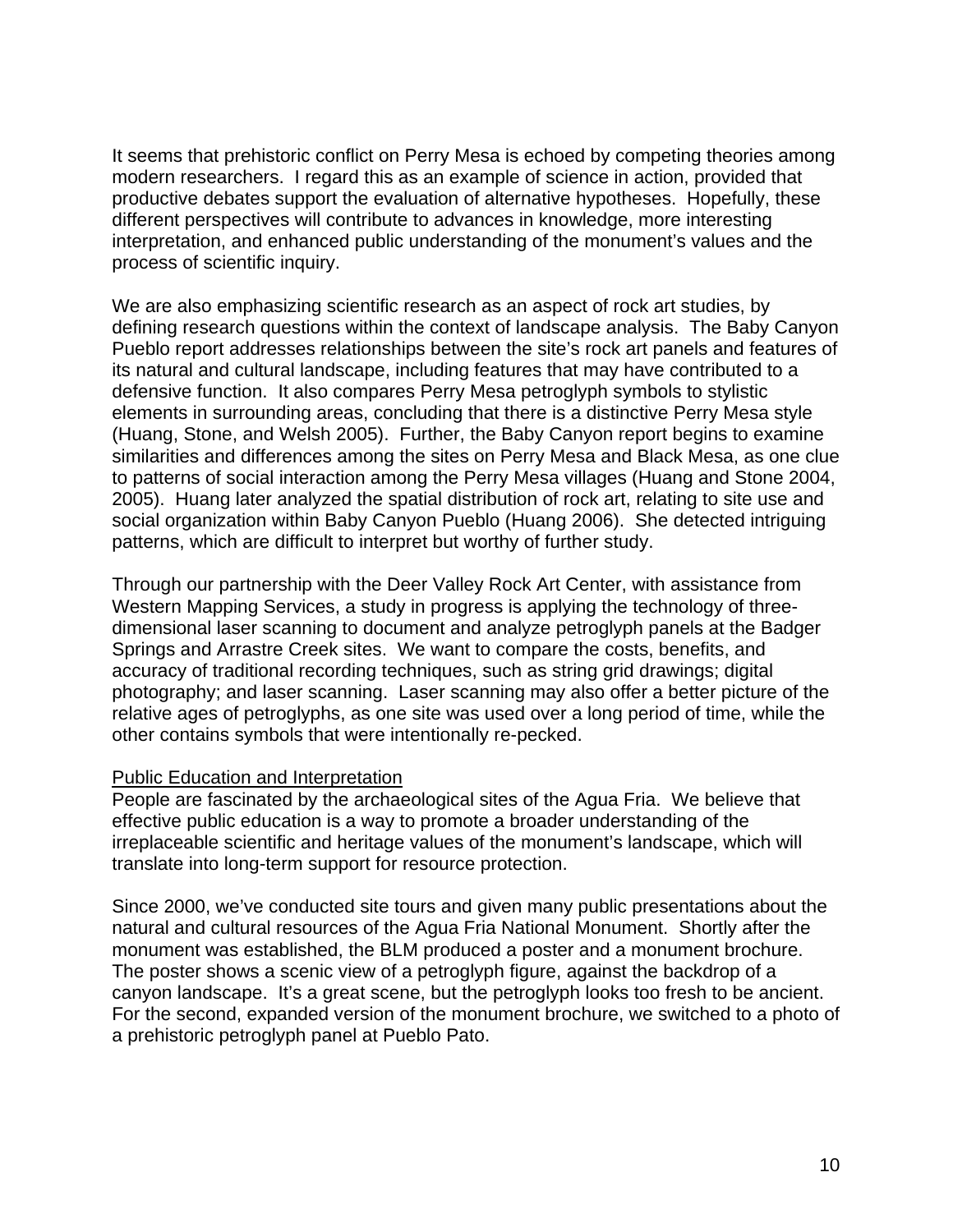It seems that prehistoric conflict on Perry Mesa is echoed by competing theories among modern researchers. I regard this as an example of science in action, provided that productive debates support the evaluation of alternative hypotheses. Hopefully, these different perspectives will contribute to advances in knowledge, more interesting interpretation, and enhanced public understanding of the monument's values and the process of scientific inquiry.

We are also emphasizing scientific research as an aspect of rock art studies, by defining research questions within the context of landscape analysis. The Baby Canyon Pueblo report addresses relationships between the site's rock art panels and features of its natural and cultural landscape, including features that may have contributed to a defensive function. It also compares Perry Mesa petroglyph symbols to stylistic elements in surrounding areas, concluding that there is a distinctive Perry Mesa style (Huang, Stone, and Welsh 2005). Further, the Baby Canyon report begins to examine similarities and differences among the sites on Perry Mesa and Black Mesa, as one clue to patterns of social interaction among the Perry Mesa villages (Huang and Stone 2004, 2005). Huang later analyzed the spatial distribution of rock art, relating to site use and social organization within Baby Canyon Pueblo (Huang 2006). She detected intriguing patterns, which are difficult to interpret but worthy of further study.

Through our partnership with the Deer Valley Rock Art Center, with assistance from Western Mapping Services, a study in progress is applying the technology of threedimensional laser scanning to document and analyze petroglyph panels at the Badger Springs and Arrastre Creek sites. We want to compare the costs, benefits, and accuracy of traditional recording techniques, such as string grid drawings; digital photography; and laser scanning. Laser scanning may also offer a better picture of the relative ages of petroglyphs, as one site was used over a long period of time, while the other contains symbols that were intentionally re-pecked.

# Public Education and Interpretation

People are fascinated by the archaeological sites of the Agua Fria. We believe that effective public education is a way to promote a broader understanding of the irreplaceable scientific and heritage values of the monument's landscape, which will translate into long-term support for resource protection.

Since 2000, we've conducted site tours and given many public presentations about the natural and cultural resources of the Agua Fria National Monument. Shortly after the monument was established, the BLM produced a poster and a monument brochure. The poster shows a scenic view of a petroglyph figure, against the backdrop of a canyon landscape. It's a great scene, but the petroglyph looks too fresh to be ancient. For the second, expanded version of the monument brochure, we switched to a photo of a prehistoric petroglyph panel at Pueblo Pato.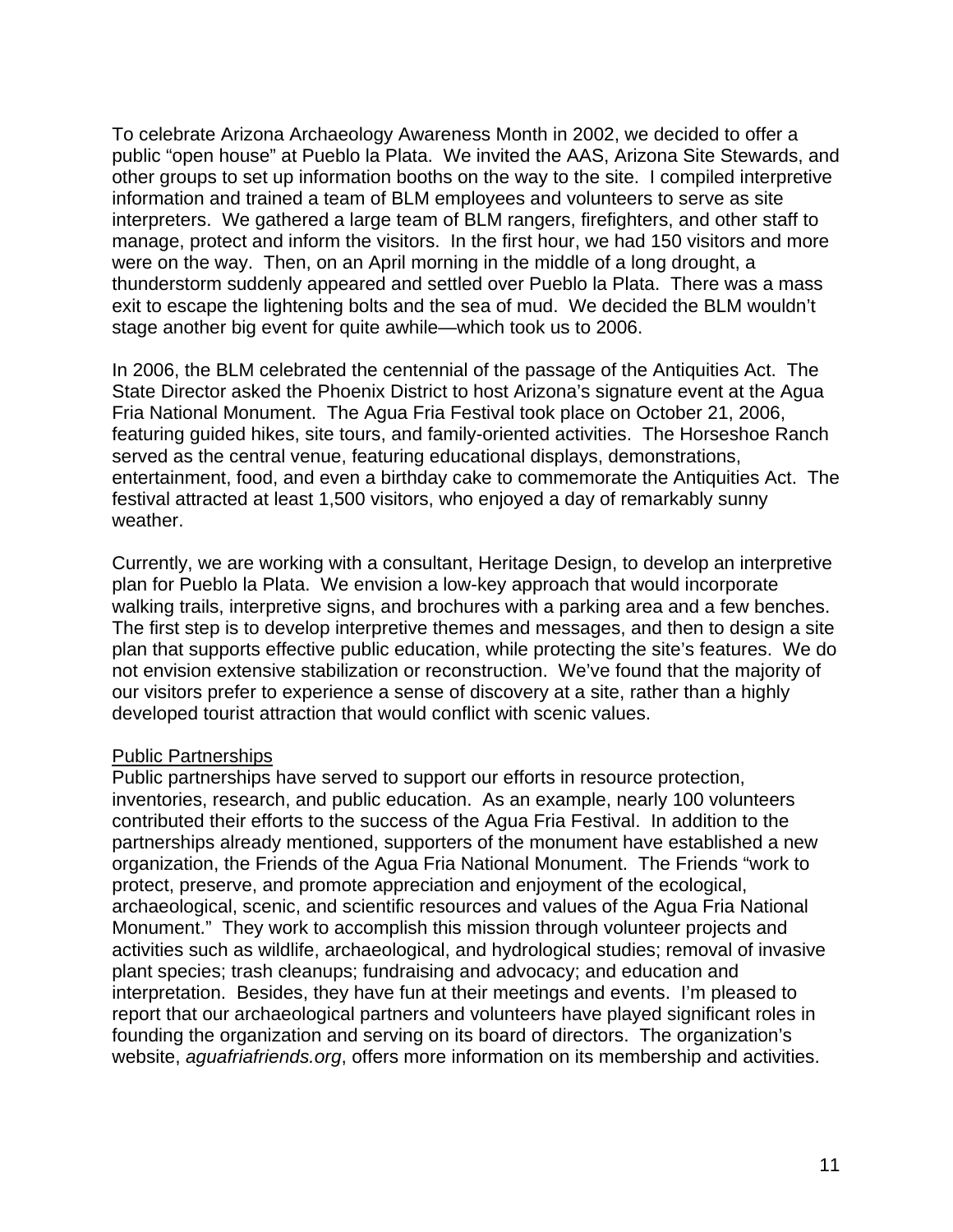To celebrate Arizona Archaeology Awareness Month in 2002, we decided to offer a public "open house" at Pueblo la Plata. We invited the AAS, Arizona Site Stewards, and other groups to set up information booths on the way to the site. I compiled interpretive information and trained a team of BLM employees and volunteers to serve as site interpreters. We gathered a large team of BLM rangers, firefighters, and other staff to manage, protect and inform the visitors. In the first hour, we had 150 visitors and more were on the way. Then, on an April morning in the middle of a long drought, a thunderstorm suddenly appeared and settled over Pueblo la Plata. There was a mass exit to escape the lightening bolts and the sea of mud. We decided the BLM wouldn't stage another big event for quite awhile—which took us to 2006.

In 2006, the BLM celebrated the centennial of the passage of the Antiquities Act. The State Director asked the Phoenix District to host Arizona's signature event at the Agua Fria National Monument. The Agua Fria Festival took place on October 21, 2006, featuring guided hikes, site tours, and family-oriented activities. The Horseshoe Ranch served as the central venue, featuring educational displays, demonstrations, entertainment, food, and even a birthday cake to commemorate the Antiquities Act. The festival attracted at least 1,500 visitors, who enjoyed a day of remarkably sunny weather.

Currently, we are working with a consultant, Heritage Design, to develop an interpretive plan for Pueblo la Plata. We envision a low-key approach that would incorporate walking trails, interpretive signs, and brochures with a parking area and a few benches. The first step is to develop interpretive themes and messages, and then to design a site plan that supports effective public education, while protecting the site's features. We do not envision extensive stabilization or reconstruction. We've found that the majority of our visitors prefer to experience a sense of discovery at a site, rather than a highly developed tourist attraction that would conflict with scenic values.

#### Public Partnerships

Public partnerships have served to support our efforts in resource protection, inventories, research, and public education. As an example, nearly 100 volunteers contributed their efforts to the success of the Agua Fria Festival. In addition to the partnerships already mentioned, supporters of the monument have established a new organization, the Friends of the Agua Fria National Monument. The Friends "work to protect, preserve, and promote appreciation and enjoyment of the ecological, archaeological, scenic, and scientific resources and values of the Agua Fria National Monument." They work to accomplish this mission through volunteer projects and activities such as wildlife, archaeological, and hydrological studies; removal of invasive plant species; trash cleanups; fundraising and advocacy; and education and interpretation. Besides, they have fun at their meetings and events. I'm pleased to report that our archaeological partners and volunteers have played significant roles in founding the organization and serving on its board of directors. The organization's website, *aguafriafriends.org*, offers more information on its membership and activities.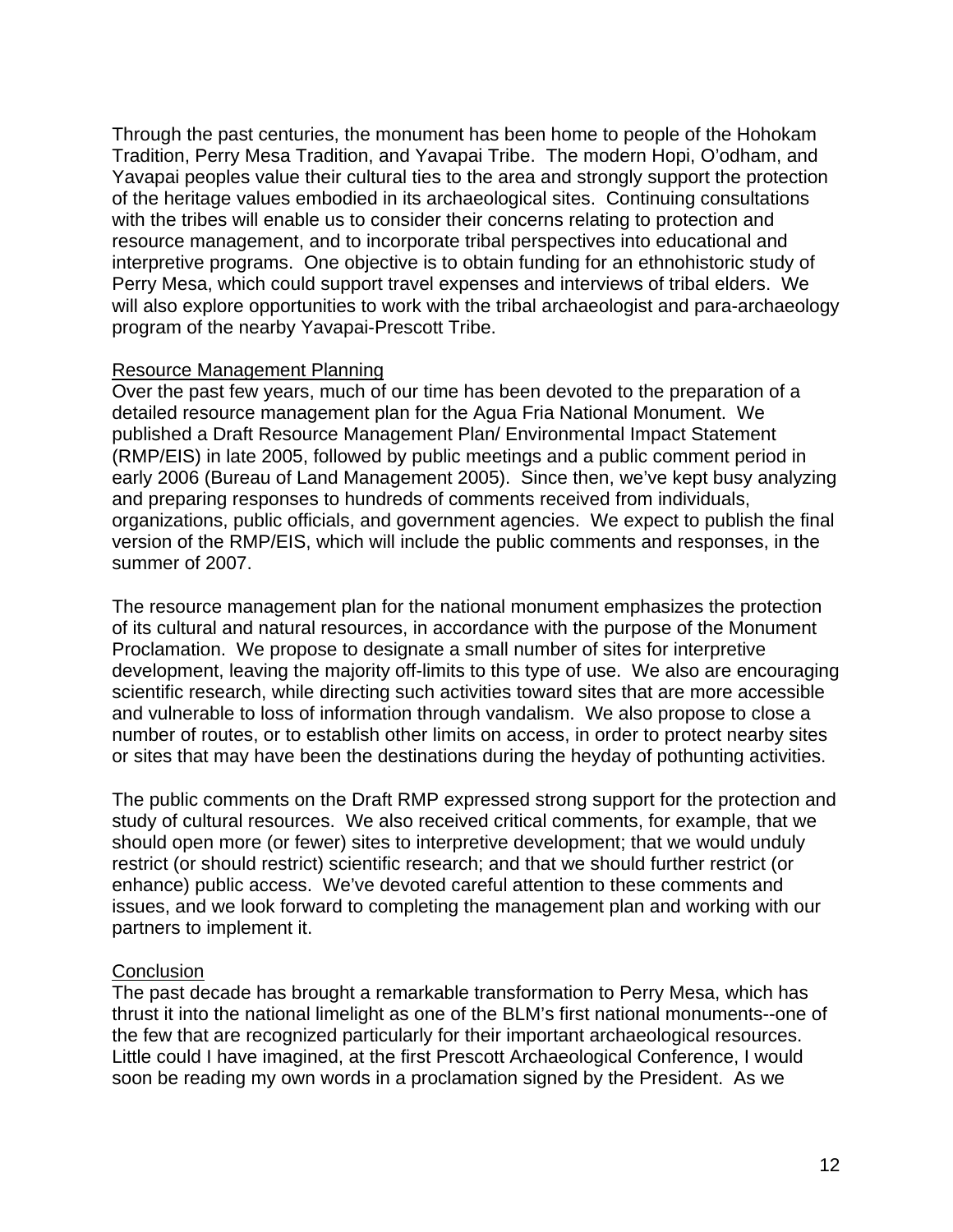Through the past centuries, the monument has been home to people of the Hohokam Tradition, Perry Mesa Tradition, and Yavapai Tribe. The modern Hopi, O'odham, and Yavapai peoples value their cultural ties to the area and strongly support the protection of the heritage values embodied in its archaeological sites. Continuing consultations with the tribes will enable us to consider their concerns relating to protection and resource management, and to incorporate tribal perspectives into educational and interpretive programs. One objective is to obtain funding for an ethnohistoric study of Perry Mesa, which could support travel expenses and interviews of tribal elders. We will also explore opportunities to work with the tribal archaeologist and para-archaeology program of the nearby Yavapai-Prescott Tribe.

#### Resource Management Planning

Over the past few years, much of our time has been devoted to the preparation of a detailed resource management plan for the Agua Fria National Monument. We published a Draft Resource Management Plan/ Environmental Impact Statement (RMP/EIS) in late 2005, followed by public meetings and a public comment period in early 2006 (Bureau of Land Management 2005). Since then, we've kept busy analyzing and preparing responses to hundreds of comments received from individuals, organizations, public officials, and government agencies. We expect to publish the final version of the RMP/EIS, which will include the public comments and responses, in the summer of 2007.

The resource management plan for the national monument emphasizes the protection of its cultural and natural resources, in accordance with the purpose of the Monument Proclamation. We propose to designate a small number of sites for interpretive development, leaving the majority off-limits to this type of use. We also are encouraging scientific research, while directing such activities toward sites that are more accessible and vulnerable to loss of information through vandalism. We also propose to close a number of routes, or to establish other limits on access, in order to protect nearby sites or sites that may have been the destinations during the heyday of pothunting activities.

The public comments on the Draft RMP expressed strong support for the protection and study of cultural resources. We also received critical comments, for example, that we should open more (or fewer) sites to interpretive development; that we would unduly restrict (or should restrict) scientific research; and that we should further restrict (or enhance) public access. We've devoted careful attention to these comments and issues, and we look forward to completing the management plan and working with our partners to implement it.

# **Conclusion**

The past decade has brought a remarkable transformation to Perry Mesa, which has thrust it into the national limelight as one of the BLM's first national monuments--one of the few that are recognized particularly for their important archaeological resources. Little could I have imagined, at the first Prescott Archaeological Conference, I would soon be reading my own words in a proclamation signed by the President. As we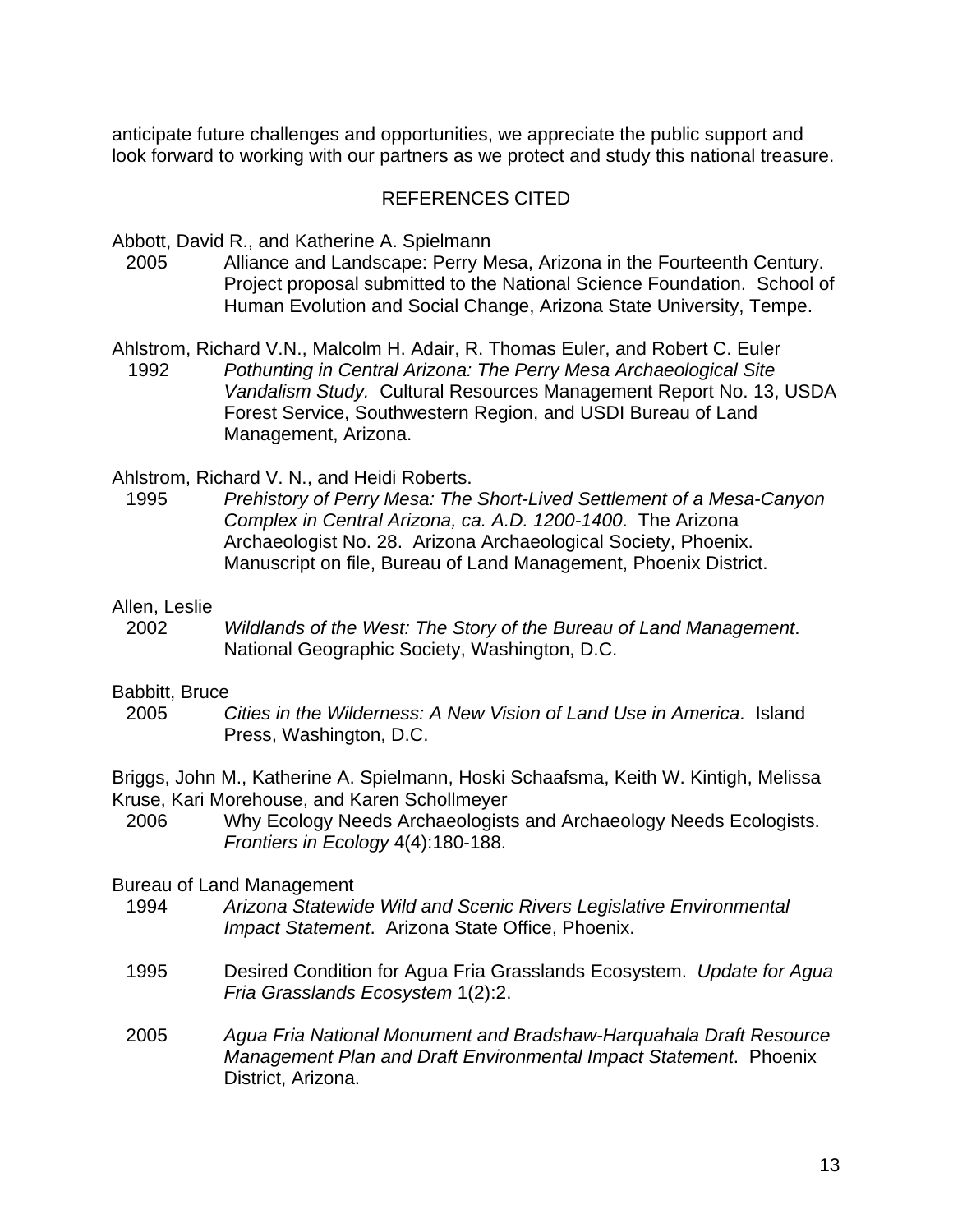anticipate future challenges and opportunities, we appreciate the public support and look forward to working with our partners as we protect and study this national treasure.

#### REFERENCES CITED

Abbott, David R., and Katherine A. Spielmann

- 2005 Alliance and Landscape: Perry Mesa, Arizona in the Fourteenth Century. Project proposal submitted to the National Science Foundation. School of Human Evolution and Social Change, Arizona State University, Tempe.
- Ahlstrom, Richard V.N., Malcolm H. Adair, R. Thomas Euler, and Robert C. Euler 1992 *Pothunting in Central Arizona: The Perry Mesa Archaeological Site Vandalism Study.* Cultural Resources Management Report No. 13, USDA Forest Service, Southwestern Region, and USDI Bureau of Land Management, Arizona.

Ahlstrom, Richard V. N., and Heidi Roberts.

1995 *Prehistory of Perry Mesa: The Short-Lived Settlement of a Mesa-Canyon Complex in Central Arizona, ca. A.D. 1200-1400*. The Arizona Archaeologist No. 28. Arizona Archaeological Society, Phoenix. Manuscript on file, Bureau of Land Management, Phoenix District.

#### Allen, Leslie

2002 *Wildlands of the West: The Story of the Bureau of Land Management*. National Geographic Society, Washington, D.C.

#### Babbitt, Bruce

2005 *Cities in the Wilderness: A New Vision of Land Use in America*. Island Press, Washington, D.C.

Briggs, John M., Katherine A. Spielmann, Hoski Schaafsma, Keith W. Kintigh, Melissa Kruse, Kari Morehouse, and Karen Schollmeyer

2006 Why Ecology Needs Archaeologists and Archaeology Needs Ecologists. *Frontiers in Ecology* 4(4):180-188.

#### Bureau of Land Management

- 1994 *Arizona Statewide Wild and Scenic Rivers Legislative Environmental Impact Statement*. Arizona State Office, Phoenix.
- 1995 Desired Condition for Agua Fria Grasslands Ecosystem. *Update for Agua Fria Grasslands Ecosystem* 1(2):2.
- 2005 *Agua Fria National Monument and Bradshaw-Harquahala Draft Resource Management Plan and Draft Environmental Impact Statement*. Phoenix District, Arizona.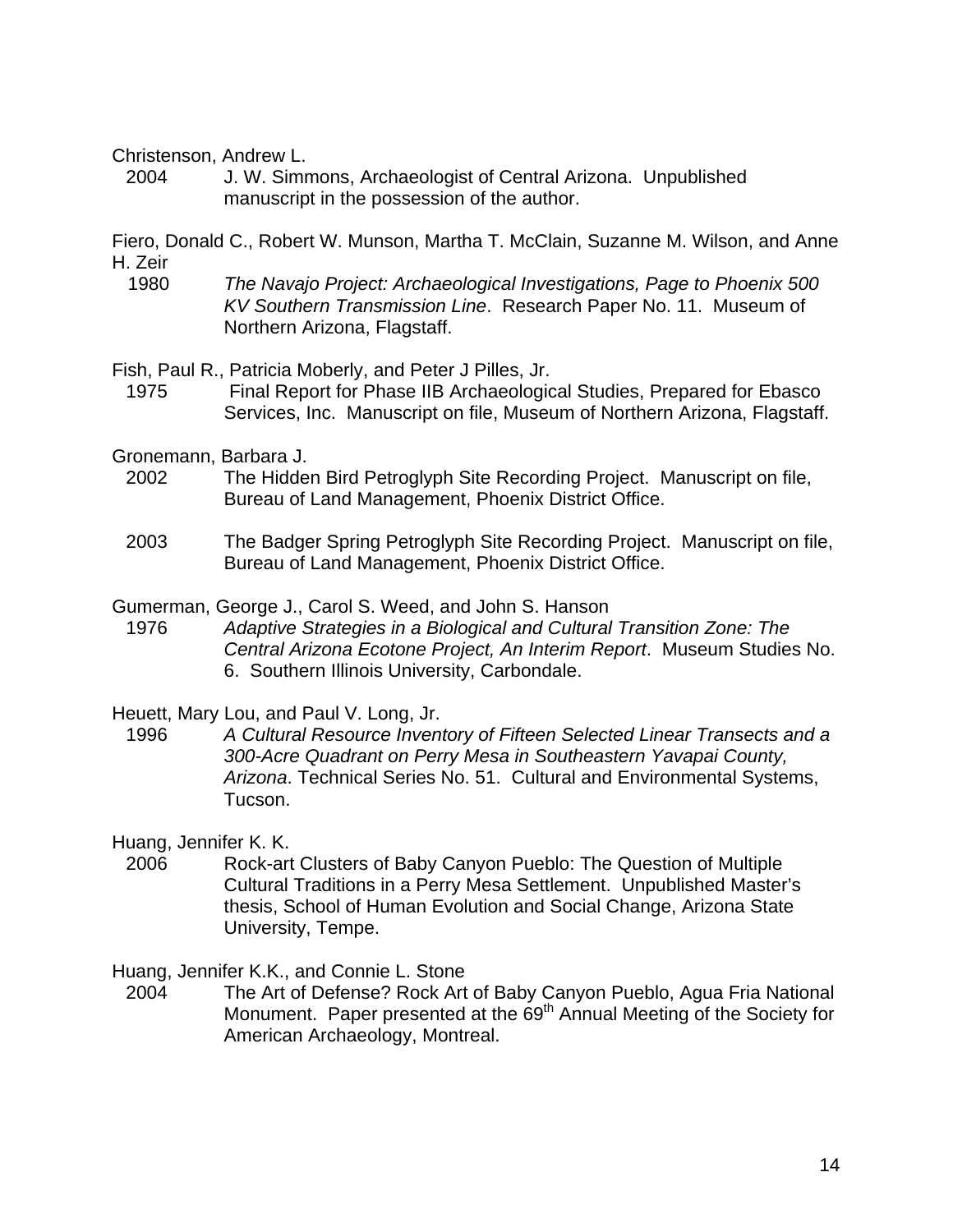Christenson, Andrew L.

2004 J. W. Simmons, Archaeologist of Central Arizona. Unpublished manuscript in the possession of the author.

Fiero, Donald C., Robert W. Munson, Martha T. McClain, Suzanne M. Wilson, and Anne H. Zeir

1980 *The Navajo Project: Archaeological Investigations, Page to Phoenix 500 KV Southern Transmission Line*. Research Paper No. 11. Museum of Northern Arizona, Flagstaff.

Fish, Paul R., Patricia Moberly, and Peter J Pilles, Jr.

- 1975 Final Report for Phase IIB Archaeological Studies, Prepared for Ebasco Services, Inc. Manuscript on file, Museum of Northern Arizona, Flagstaff.
- Gronemann, Barbara J.
	- 2002 The Hidden Bird Petroglyph Site Recording Project. Manuscript on file, Bureau of Land Management, Phoenix District Office.
	- 2003 The Badger Spring Petroglyph Site Recording Project. Manuscript on file, Bureau of Land Management, Phoenix District Office.

Gumerman, George J., Carol S. Weed, and John S. Hanson

1976 *Adaptive Strategies in a Biological and Cultural Transition Zone: The Central Arizona Ecotone Project, An Interim Report*. Museum Studies No. 6. Southern Illinois University, Carbondale.

Heuett, Mary Lou, and Paul V. Long, Jr.

1996 *A Cultural Resource Inventory of Fifteen Selected Linear Transects and a 300-Acre Quadrant on Perry Mesa in Southeastern Yavapai County, Arizona*. Technical Series No. 51. Cultural and Environmental Systems, Tucson.

Huang, Jennifer K. K.

2006 Rock-art Clusters of Baby Canyon Pueblo: The Question of Multiple Cultural Traditions in a Perry Mesa Settlement. Unpublished Master's thesis, School of Human Evolution and Social Change, Arizona State University, Tempe.

Huang, Jennifer K.K., and Connie L. Stone

2004 The Art of Defense? Rock Art of Baby Canyon Pueblo, Agua Fria National Monument. Paper presented at the 69<sup>th</sup> Annual Meeting of the Society for American Archaeology, Montreal.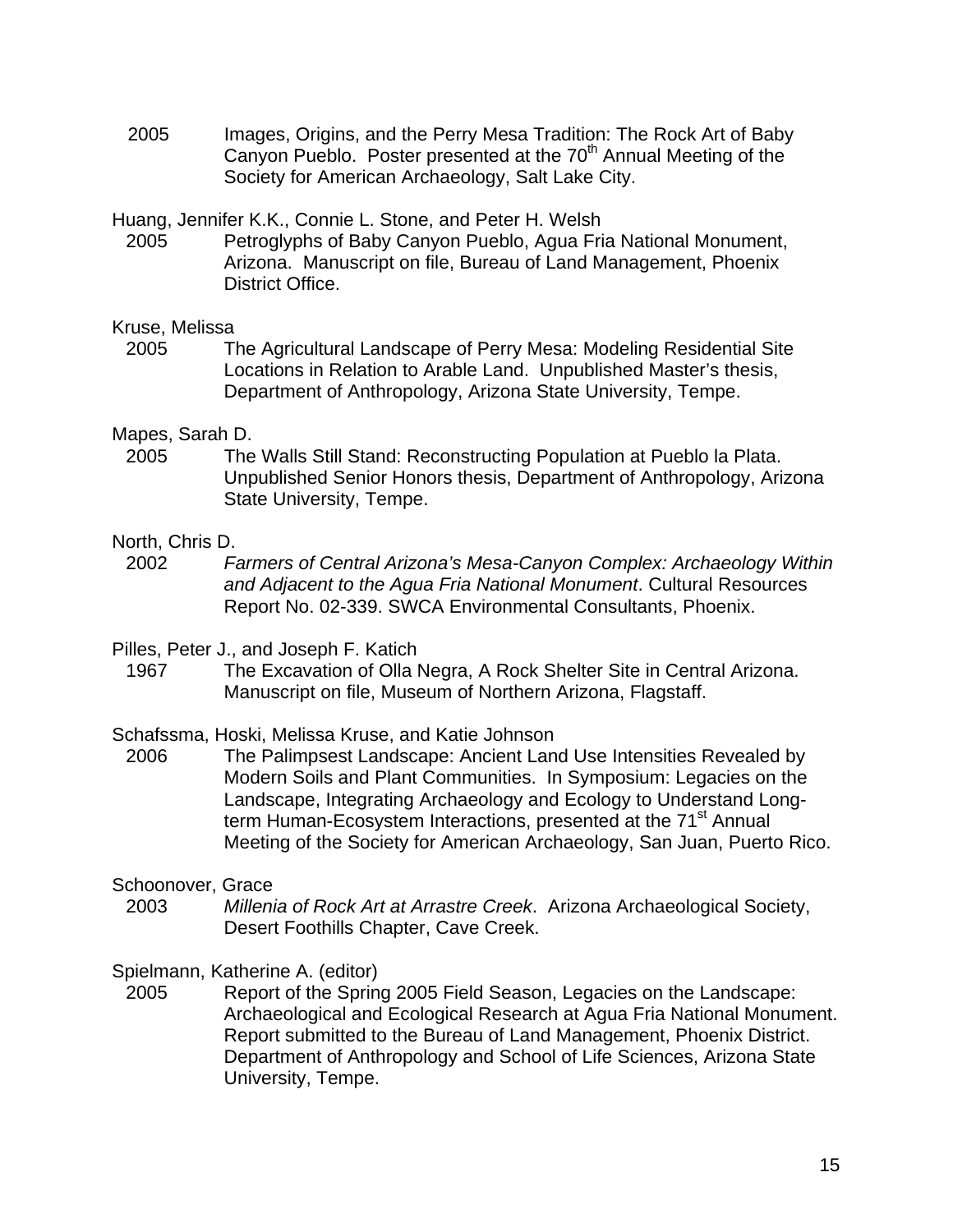2005 Images, Origins, and the Perry Mesa Tradition: The Rock Art of Baby Canyon Pueblo. Poster presented at the 70<sup>th</sup> Annual Meeting of the Society for American Archaeology, Salt Lake City.

Huang, Jennifer K.K., Connie L. Stone, and Peter H. Welsh

2005 Petroglyphs of Baby Canyon Pueblo, Agua Fria National Monument, Arizona. Manuscript on file, Bureau of Land Management, Phoenix District Office.

#### Kruse, Melissa

2005 The Agricultural Landscape of Perry Mesa: Modeling Residential Site Locations in Relation to Arable Land. Unpublished Master's thesis, Department of Anthropology, Arizona State University, Tempe.

# Mapes, Sarah D.

The Walls Still Stand: Reconstructing Population at Pueblo la Plata. 2005 The Walls Still Stand: Reconstructing Population at Pueblo la Plata. Unpublished Senior Honors thesis, Department of Anthropology, Arizona State University, Tempe.

# North, Chris D.

- 2002 *Farmers of Central Arizona's Mesa-Canyon Complex: Archaeology Within and Adjacent to the Agua Fria National Monument*. Cultural Resources Report No. 02-339. SWCA Environmental Consultants, Phoenix.
- Pilles, Peter J., and Joseph F. Katich
	- 1967 The Excavation of Olla Negra, A Rock Shelter Site in Central Arizona. Manuscript on file, Museum of Northern Arizona, Flagstaff.

# Schafssma, Hoski, Melissa Kruse, and Katie Johnson

2006 The Palimpsest Landscape: Ancient Land Use Intensities Revealed by Modern Soils and Plant Communities. In Symposium: Legacies on the Landscape, Integrating Archaeology and Ecology to Understand Longterm Human-Ecosystem Interactions, presented at the 71<sup>st</sup> Annual Meeting of the Society for American Archaeology, San Juan, Puerto Rico.

# Schoonover, Grace

2003 *Millenia of Rock Art at Arrastre Creek*. Arizona Archaeological Society, Desert Foothills Chapter, Cave Creek.

# Spielmann, Katherine A. (editor)

2005 Report of the Spring 2005 Field Season, Legacies on the Landscape: Archaeological and Ecological Research at Agua Fria National Monument. Report submitted to the Bureau of Land Management, Phoenix District. Department of Anthropology and School of Life Sciences, Arizona State University, Tempe.